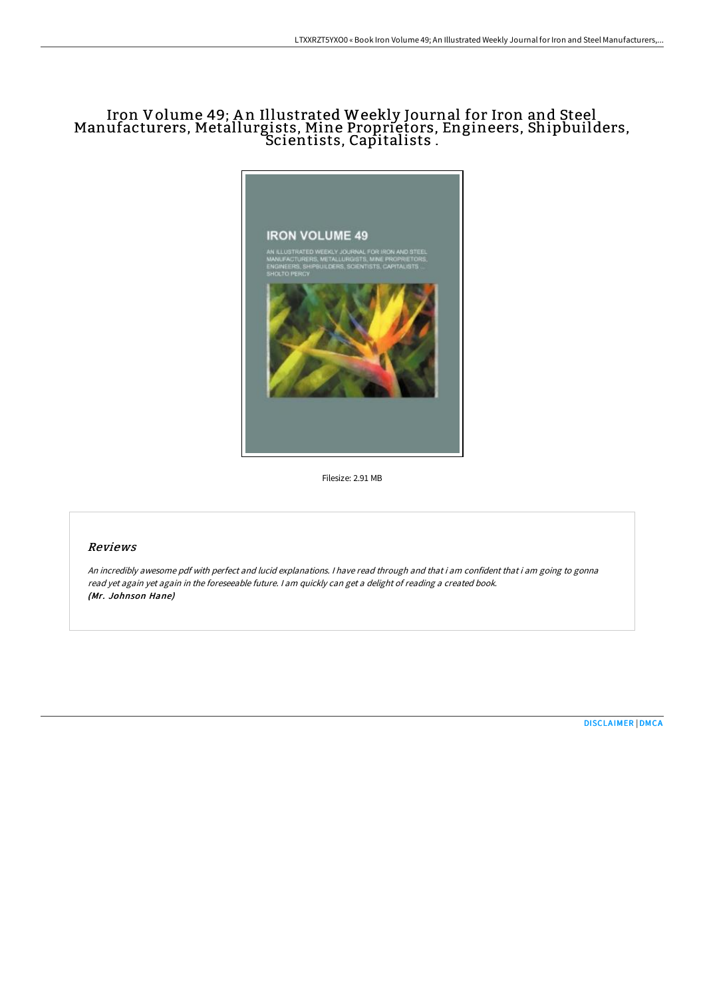## Iron Volume 49; An Illustrated Weekly Journal for Iron and Steel Manufacturers, Metallurgists, Mine Proprietors, Engineers, Shipbuilders, Scientists, Capitalists .



Filesize: 2.91 MB

## Reviews

An incredibly awesome pdf with perfect and lucid explanations. <sup>I</sup> have read through and that i am confident that i am going to gonna read yet again yet again in the foreseeable future. <sup>I</sup> am quickly can get <sup>a</sup> delight of reading <sup>a</sup> created book. (Mr. Johnson Hane)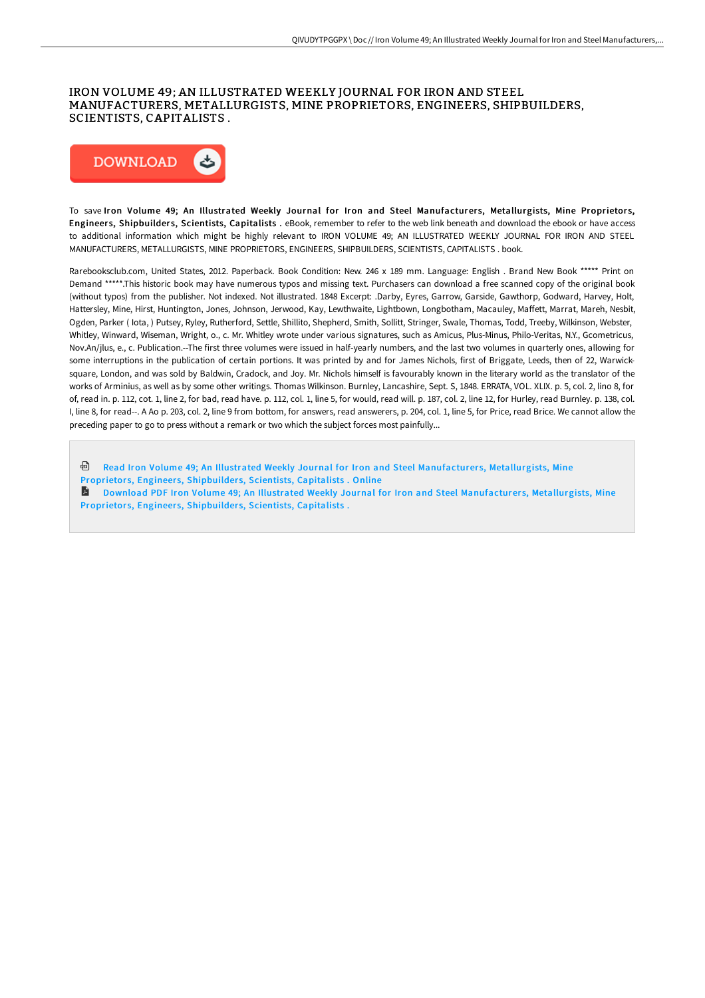## IRON VOLUME 49; AN ILLUSTRATED WEEKLY JOURNAL FOR IRON AND STEEL MANUFACTURERS, METALLURGISTS, MINE PROPRIETORS, ENGINEERS, SHIPBUILDERS, SCIENTISTS, CAPITALISTS .



To save Iron Volume 49; An Illustrated Weekly Journal for Iron and Steel Manufacturers, Metallurgists, Mine Proprietors, Engineers, Shipbuilders, Scientists, Capitalists . eBook, remember to refer to the web link beneath and download the ebook or have access to additional information which might be highly relevant to IRON VOLUME 49; AN ILLUSTRATED WEEKLY JOURNAL FOR IRON AND STEEL MANUFACTURERS, METALLURGISTS, MINE PROPRIETORS, ENGINEERS, SHIPBUILDERS, SCIENTISTS, CAPITALISTS . book.

Rarebooksclub.com, United States, 2012. Paperback. Book Condition: New. 246 x 189 mm. Language: English . Brand New Book \*\*\*\*\* Print on Demand \*\*\*\*\*.This historic book may have numerous typos and missing text. Purchasers can download a free scanned copy of the original book (without typos) from the publisher. Not indexed. Not illustrated. 1848 Excerpt: .Darby, Eyres, Garrow, Garside, Gawthorp, Godward, Harvey, Holt, Hattersley, Mine, Hirst, Huntington, Jones, Johnson, Jerwood, Kay, Lewthwaite, Lightbown, Longbotham, Macauley, MaHett, Marrat, Mareh, Nesbit, Ogden, Parker ( Iota, ) Putsey, Ryley, Rutherford, Settle, Shillito, Shepherd, Smith, Sollitt, Stringer, Swale, Thomas, Todd, Treeby, Wilkinson, Webster, Whitley, Winward, Wiseman, Wright, o., c. Mr. Whitley wrote under various signatures, such as Amicus, Plus-Minus, Philo-Veritas, N.Y., Gcometricus, Nov.An/jlus, e., c. Publication.--The first three volumes were issued in half-yearly numbers, and the last two volumes in quarterly ones, allowing for some interruptions in the publication of certain portions. It was printed by and for James Nichols, first of Briggate, Leeds, then of 22, Warwicksquare, London, and was sold by Baldwin, Cradock, and Joy. Mr. Nichols himself is favourably known in the literary world as the translator of the works of Arminius, as well as by some other writings. Thomas Wilkinson. Burnley, Lancashire, Sept. S, 1848. ERRATA, VOL. XLIX. p. 5, col. 2, lino 8, for of, read in. p. 112, cot. 1, line 2, for bad, read have. p. 112, col. 1, line 5, for would, read will. p. 187, col. 2, line 12, for Hurley, read Burnley. p. 138, col. I, line 8, for read--. A Ao p. 203, col. 2, line 9 from bottom, for answers, read answerers, p. 204, col. 1, line 5, for Price, read Brice. We cannot allow the preceding paper to go to press without a remark or two which the subject forces most painfully...

**D** Read Iron Volume 49; An Illustrated Weekly Journal for Iron and Steel [Manufacturer](http://albedo.media/iron-volume-49-an-illustrated-weekly-journal-for.html)s, Metallurgists, Mine Proprietors, Engineers, Shipbuilders, Scientists, Capitalists . Online

**Download PDF Iron Volume 49: An Illustrated Weekly Journal for Iron and Steel [Manufacturer](http://albedo.media/iron-volume-49-an-illustrated-weekly-journal-for.html)s, Metallurgists, Mine** Proprietors, Engineers, Shipbuilders, Scientists, Capitalists.